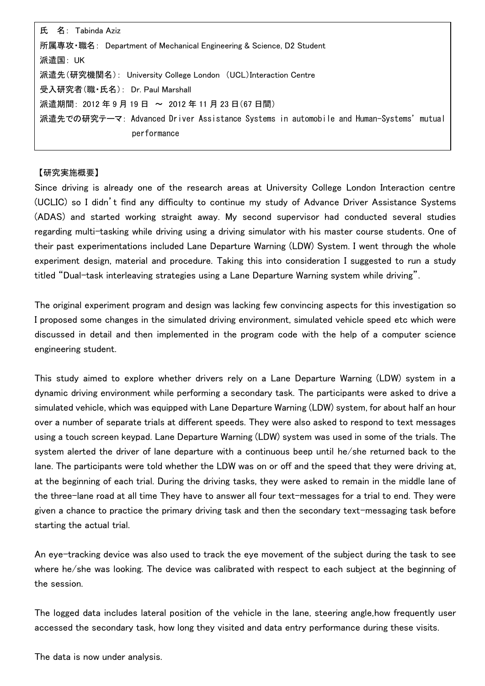氏 名: Tabinda Aziz 所属専攻・職名: Department of Mechanical Engineering & Science, D2 Student 派遣国: UK 派遣先(研究機関名): University College London (UCL)Interaction Centre 受入研究者(職・氏名): Dr. Paul Marshall 派遣期間: 2012年9月19日 ~ 2012年11月23日(67日間) 派遣先での研究テーマ: Advanced Driver Assistance Systems in automobile and Human-Systems'mutual performance

## 【研究実施概要】

Since driving is already one of the research areas at University College London Interaction centre (UCLIC) so I didn't find any difficulty to continue my study of Advance Driver Assistance Systems (ADAS) and started working straight away. My second supervisor had conducted several studies regarding multi-tasking while driving using a driving simulator with his master course students. One of their past experimentations included Lane Departure Warning (LDW) System. I went through the whole experiment design, material and procedure. Taking this into consideration I suggested to run a study titled "Dual-task interleaving strategies using a Lane Departure Warning system while driving".

The original experiment program and design was lacking few convincing aspects for this investigation so I proposed some changes in the simulated driving environment, simulated vehicle speed etc which were discussed in detail and then implemented in the program code with the help of a computer science engineering student.

This study aimed to explore whether drivers rely on a Lane Departure Warning (LDW) system in a dynamic driving environment while performing a secondary task. The participants were asked to drive a simulated vehicle, which was equipped with Lane Departure Warning (LDW) system, for about half an hour over a number of separate trials at different speeds. They were also asked to respond to text messages using a touch screen keypad. Lane Departure Warning (LDW) system was used in some of the trials. The system alerted the driver of lane departure with a continuous beep until he/she returned back to the lane. The participants were told whether the LDW was on or off and the speed that they were driving at, at the beginning of each trial. During the driving tasks, they were asked to remain in the middle lane of the three-lane road at all time They have to answer all four text-messages for a trial to end. They were given a chance to practice the primary driving task and then the secondary text-messaging task before starting the actual trial.

An eye-tracking device was also used to track the eye movement of the subject during the task to see where he/she was looking. The device was calibrated with respect to each subject at the beginning of the session.

The logged data includes lateral position of the vehicle in the lane, steering angle,how frequently user accessed the secondary task, how long they visited and data entry performance during these visits.

The data is now under analysis.